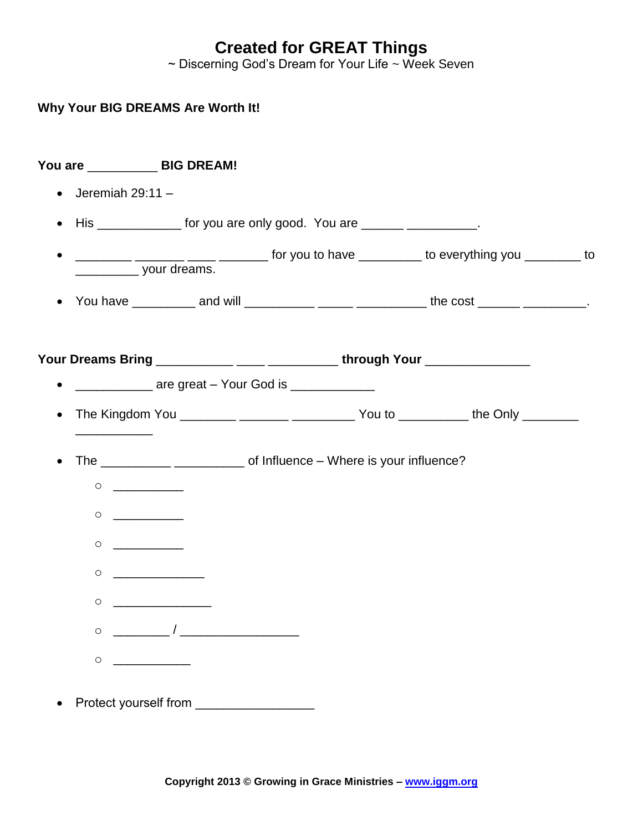## **Created for GREAT Things**

~ Discerning God's Dream for Your Life ~ Week Seven

| You are _____________ BIG DREAM!                                                                                                                                                                                                                                                                                                                    |                                                                                        |  |  |
|-----------------------------------------------------------------------------------------------------------------------------------------------------------------------------------------------------------------------------------------------------------------------------------------------------------------------------------------------------|----------------------------------------------------------------------------------------|--|--|
| Jeremiah $29:11 -$                                                                                                                                                                                                                                                                                                                                  |                                                                                        |  |  |
|                                                                                                                                                                                                                                                                                                                                                     | His _______________ for you are only good. You are _______ __________.                 |  |  |
| your dreams.                                                                                                                                                                                                                                                                                                                                        | _________ ______ ____ ____ for you to have ________ to everything you ________ to      |  |  |
|                                                                                                                                                                                                                                                                                                                                                     | You have ___________ and will ____________ ______ _________ the cost ______ _________. |  |  |
|                                                                                                                                                                                                                                                                                                                                                     | Your Dreams Bring ___________ ____ ___________through Your ________________            |  |  |
|                                                                                                                                                                                                                                                                                                                                                     | <u>____________</u> are great – Your God is _____________                              |  |  |
|                                                                                                                                                                                                                                                                                                                                                     |                                                                                        |  |  |
|                                                                                                                                                                                                                                                                                                                                                     |                                                                                        |  |  |
|                                                                                                                                                                                                                                                                                                                                                     |                                                                                        |  |  |
| $\begin{picture}(150,10) \put(0,0){\line(1,0){10}} \put(15,0){\line(1,0){10}} \put(15,0){\line(1,0){10}} \put(15,0){\line(1,0){10}} \put(15,0){\line(1,0){10}} \put(15,0){\line(1,0){10}} \put(15,0){\line(1,0){10}} \put(15,0){\line(1,0){10}} \put(15,0){\line(1,0){10}} \put(15,0){\line(1,0){10}} \put(15,0){\line(1,0){10}} \put(15,0){\line($ |                                                                                        |  |  |
| $\circ$<br><u> 1990 - Johann Barbara, martin a</u>                                                                                                                                                                                                                                                                                                  |                                                                                        |  |  |
| O                                                                                                                                                                                                                                                                                                                                                   |                                                                                        |  |  |
| $\circ$                                                                                                                                                                                                                                                                                                                                             |                                                                                        |  |  |
| $\overline{\phantom{a}}$<br>$\circ$                                                                                                                                                                                                                                                                                                                 |                                                                                        |  |  |
| $\circ$                                                                                                                                                                                                                                                                                                                                             |                                                                                        |  |  |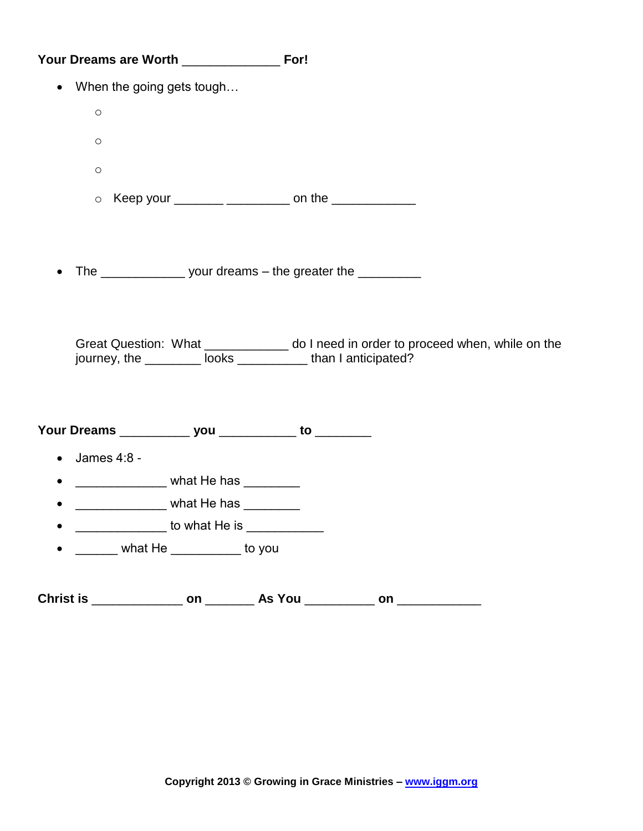| When the going gets tough<br>$\bullet$                  |                                                                                     |                                                                                                                                                      |
|---------------------------------------------------------|-------------------------------------------------------------------------------------|------------------------------------------------------------------------------------------------------------------------------------------------------|
| $\circ$                                                 |                                                                                     |                                                                                                                                                      |
| $\circ$                                                 |                                                                                     |                                                                                                                                                      |
| $\circ$                                                 |                                                                                     |                                                                                                                                                      |
| $\circ$                                                 |                                                                                     | Keep your _______ _________ on the ____________                                                                                                      |
|                                                         |                                                                                     | The ________________________ your dreams - the greater the ______________                                                                            |
|                                                         |                                                                                     | Great Question: What ____________ do I need in order to proceed when, while on the<br>journey, the _________ looks _____________ than I anticipated? |
| Your Dreams _____________ you ____________ to _________ |                                                                                     |                                                                                                                                                      |
| James 4:8 -<br>$\bullet$                                |                                                                                     |                                                                                                                                                      |
| $\bullet$                                               | __________________ what He has _________<br>_________________ what He has _________ |                                                                                                                                                      |
|                                                         | to what He is ____________                                                          |                                                                                                                                                      |
|                                                         | ______ what He __________ to you                                                    |                                                                                                                                                      |
|                                                         |                                                                                     |                                                                                                                                                      |
| Christ is _________________ on _____                    |                                                                                     | on                                                                                                                                                   |